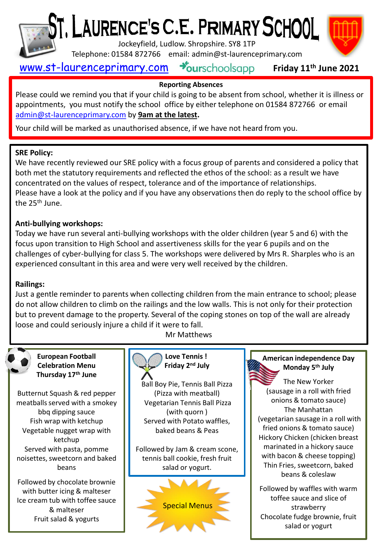

# T, LAURENCE'S C.E. PRIMARY SCHOOL I

Jockeyfield, Ludlow. Shropshire. SY8 1TP

Telephone: 01584 872766 email: admin@st-laurenceprimary.com



#### [www.st-laurenceprimary.com](http://www.st-laurenceprimary.com/) **Friday 11th June 2021**

# **Reporting Absences**

Please could we remind you that if your child is going to be absent from school, whether it is illness or appointments, you must notify the school office by either telephone on 01584 872766 or email [admin@st-laurenceprimary.com](mailto:admin@st-laurenceprimary.com) by **9am at the latest.**

Your child will be marked as unauthorised absence, if we have not heard from you.

#### **SRE Policy:**

We have recently reviewed our SRE policy with a focus group of parents and considered a policy that both met the statutory requirements and reflected the ethos of the school: as a result we have concentrated on the values of respect, tolerance and of the importance of relationships. Please have a look at the policy and if you have any observations then do reply to the school office by the 25<sup>th</sup> June.

#### **Anti-bullying workshops:**

Today we have run several anti-bullying workshops with the older children (year 5 and 6) with the focus upon transition to High School and assertiveness skills for the year 6 pupils and on the challenges of cyber-bullying for class 5. The workshops were delivered by Mrs R. Sharples who is an experienced consultant in this area and were very well received by the children.

#### **Railings:**

Just a gentle reminder to parents when collecting children from the main entrance to school; please do not allow children to climb on the railings and the low walls. This is not only for their protection but to prevent damage to the property. Several of the coping stones on top of the wall are already loose and could seriously injure a child if it were to fall.





**European Football Celebration Menu Thursday 17th June**

Butternut Squash & red pepper meatballs served with a smokey bbq dipping sauce Fish wrap with ketchup Vegetable nugget wrap with ketchup Served with pasta, pomme noisettes, sweetcorn and baked beans

Followed by chocolate brownie with butter icing & malteser Ice cream tub with toffee sauce & malteser Fruit salad & yogurts



#### **Love Tennis ! Friday 2 nd July**

Ball Boy Pie, Tennis Ball Pizza (Pizza with meatball) Vegetarian Tennis Ball Pizza (with quorn ) Served with Potato waffles, baked beans & Peas

Followed by Jam & cream scone, tennis ball cookie, fresh fruit salad or yogurt.



### **American independence Day Monday 5th July**

The New Yorker (sausage in a roll with fried onions & tomato sauce) The Manhattan (vegetarian sausage in a roll with fried onions & tomato sauce) Hickory Chicken (chicken breast marinated in a hickory sauce with bacon & cheese topping) Thin Fries, sweetcorn, baked beans & coleslaw

Followed by waffles with warm toffee sauce and slice of strawberry Chocolate fudge brownie, fruit salad or yogurt